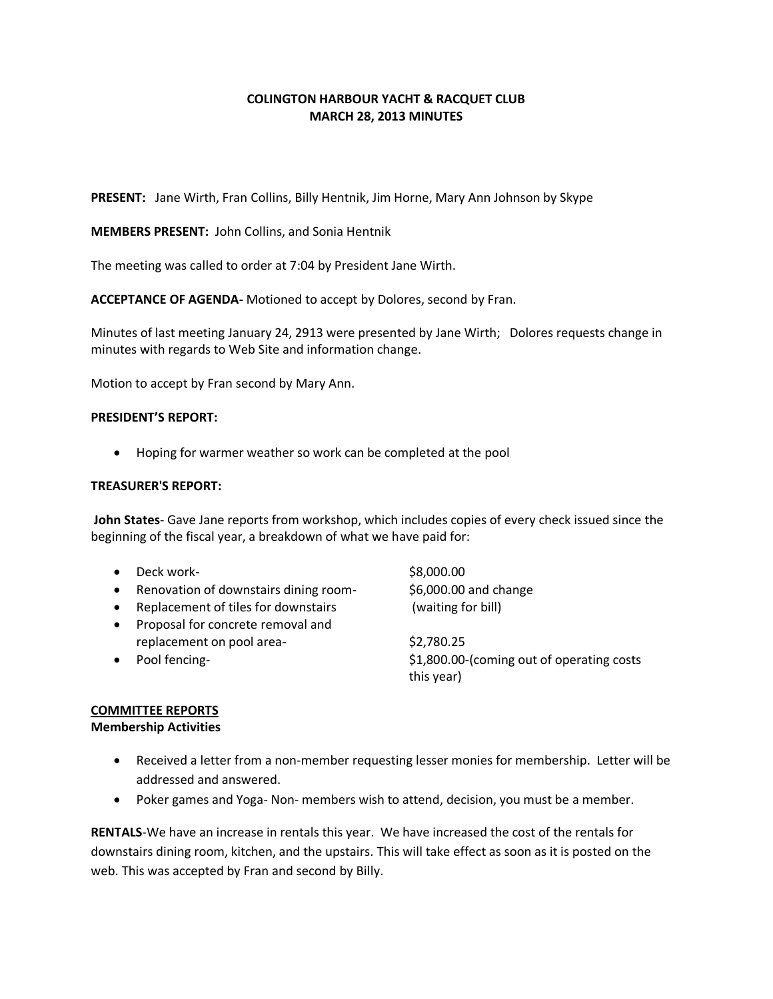## **COLINGTON HARBOUR YACHT & RACQUET CLUB MARCH 28, 2013 MINUTES**

**PRESENT:** Jane Wirth, Fran Collins, Billy Hentnik, Jim Horne, Mary Ann Johnson by Skype

**MEMBERS PRESENT:** John Collins, and Sonia Hentnik

The meeting was called to order at 7:04 by President Jane Wirth.

**ACCEPTANCE OF AGENDA-** Motioned to accept by Dolores, second by Fran.

Minutes of last meeting January 24, 2913 were presented by Jane Wirth; Dolores requests change in minutes with regards to Web Site and information change.

Motion to accept by Fran second by Mary Ann.

#### **PRESIDENT'S REPORT:**

Hoping for warmer weather so work can be completed at the pool

#### **TREASURER'S REPORT:**

**John States**- Gave Jane reports from workshop, which includes copies of every check issued since the beginning of the fiscal year, a breakdown of what we have paid for:

- $\bullet$  Deck work-  $\$8,000.00$
- Renovation of downstairs dining room-<br>
\$6,000.00 and change
- Replacement of tiles for downstairs (waiting for bill)
- Proposal for concrete removal and replacement on pool area-<br>
\$2,780.25
- 

• Pool fencing- **but a struck of our struck of operating costs** \$1,800.00-(coming out of operating costs this year)

## **COMMITTEE REPORTS**

#### **Membership Activities**

- Received a letter from a non-member requesting lesser monies for membership. Letter will be addressed and answered.
- Poker games and Yoga- Non- members wish to attend, decision, you must be a member.

**RENTALS**-We have an increase in rentals this year. We have increased the cost of the rentals for downstairs dining room, kitchen, and the upstairs. This will take effect as soon as it is posted on the web. This was accepted by Fran and second by Billy.